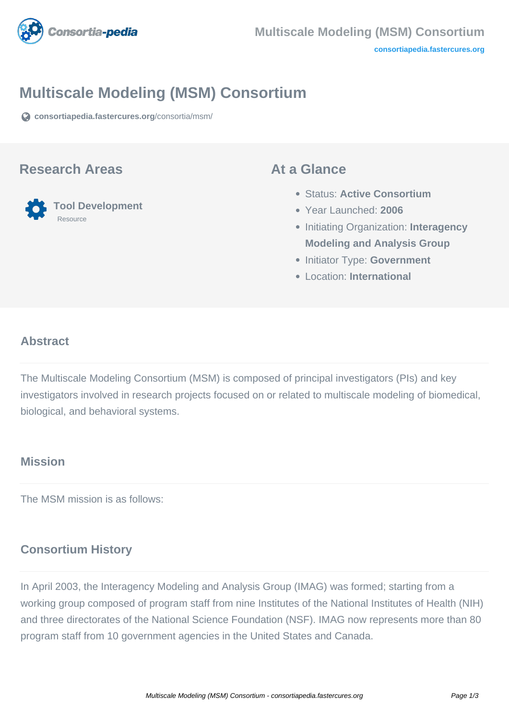

# **Multiscale Modeling (MSM) Consortium**

**[consortiapedia.fastercures.org](https://consortiapedia.fastercures.org/consortia/msm/)**[/consortia/msm/](https://consortiapedia.fastercures.org/consortia/msm/)

#### **Research Areas**



#### **At a Glance**

- Status: **Active Consortium**
- Year Launched: **2006**
- **Initiating Organization: Interagency Modeling and Analysis Group**
- **Initiator Type: Government**
- Location: **International**

#### $\overline{\phantom{a}}$ **Abstract**

The Multiscale Modeling Consortium (MSM) is composed of principal investigators (PIs) and key investigators involved in research projects focused on or related to multiscale modeling of biomedical, biological, and behavioral systems.

## **Mission**

The MSM mission is as follows:

#### **Consortium History**

In April 2003, the Interagency Modeling and Analysis Group (IMAG) was formed; starting from a working group composed of program staff from nine Institutes of the National Institutes of Health (NIH) and three directorates of the National Science Foundation (NSF). IMAG now represents more than 80 program staff from 10 government agencies in the United States and Canada.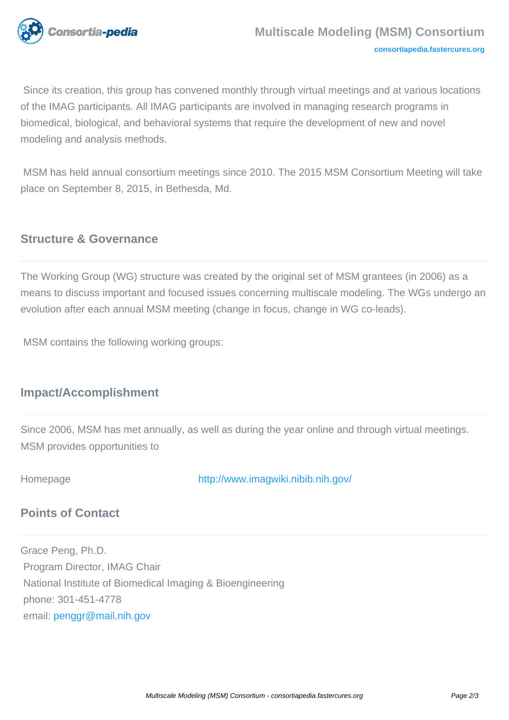

 Since its creation, this group has convened monthly through virtual meetings and at various locations of the IMAG participants. All IMAG participants are involved in managing research programs in biomedical, biological, and behavioral systems that require the development of new and novel modeling and analysis methods.

 MSM has held annual consortium meetings since 2010. The 2015 MSM Consortium Meeting will take place on September 8, 2015, in Bethesda, Md.

## **Structure & Governance**

The Working Group (WG) structure was created by the original set of MSM grantees (in 2006) as a means to discuss important and focused issues concerning multiscale modeling. The WGs undergo an evolution after each annual MSM meeting (change in focus, change in WG co-leads).

MSM contains the following working groups:

## **Impact/Accomplishment**

Since 2006, MSM has met annually, as well as during the year online and through virtual meetings. MSM provides opportunities to

Homepage <http://www.imagwiki.nibib.nih.gov/>

## **Points of Contact**

Grace Peng, Ph.D. Program Director, IMAG Chair National Institute of Biomedical Imaging & Bioengineering phone: 301-451-4778 email: [penggr@mail.nih.gov](mailto:penggr@mail.nih.gov)